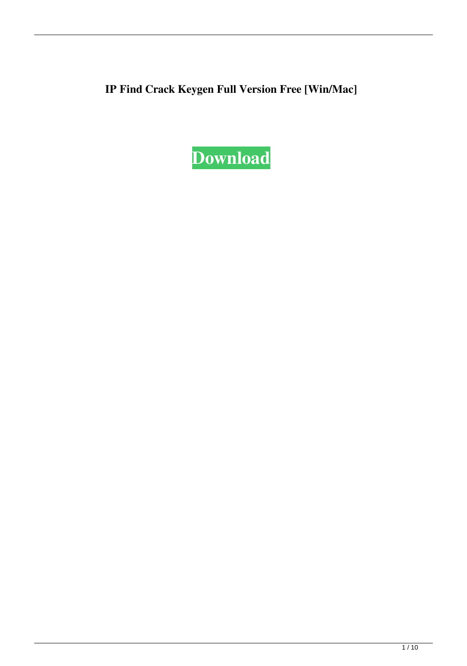**IP Find Crack Keygen Full Version Free [Win/Mac]**

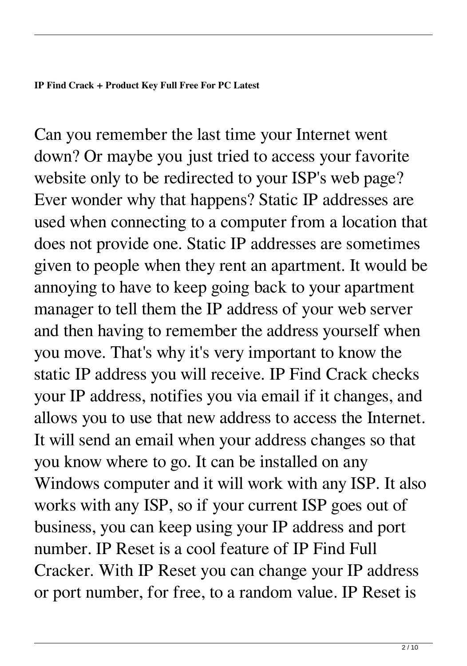Can you remember the last time your Internet went down? Or maybe you just tried to access your favorite website only to be redirected to your ISP's web page? Ever wonder why that happens? Static IP addresses are used when connecting to a computer from a location that does not provide one. Static IP addresses are sometimes given to people when they rent an apartment. It would be annoying to have to keep going back to your apartment manager to tell them the IP address of your web server and then having to remember the address yourself when you move. That's why it's very important to know the static IP address you will receive. IP Find Crack checks your IP address, notifies you via email if it changes, and allows you to use that new address to access the Internet. It will send an email when your address changes so that you know where to go. It can be installed on any Windows computer and it will work with any ISP. It also works with any ISP, so if your current ISP goes out of business, you can keep using your IP address and port number. IP Reset is a cool feature of IP Find Full Cracker. With IP Reset you can change your IP address or port number, for free, to a random value. IP Reset is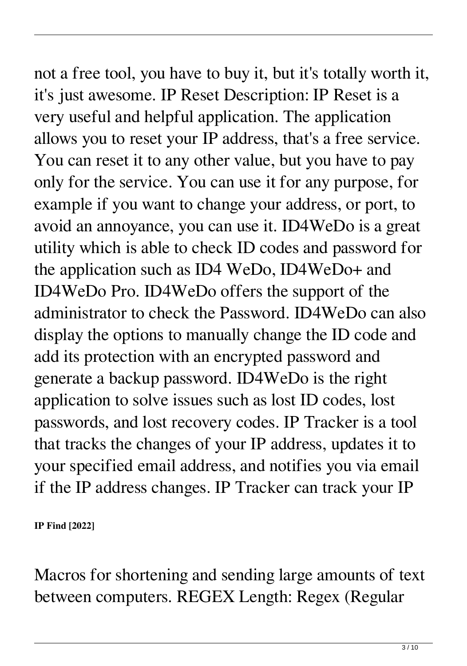not a free tool, you have to buy it, but it's totally worth it, it's just awesome. IP Reset Description: IP Reset is a very useful and helpful application. The application allows you to reset your IP address, that's a free service. You can reset it to any other value, but you have to pay only for the service. You can use it for any purpose, for example if you want to change your address, or port, to avoid an annoyance, you can use it. ID4WeDo is a great utility which is able to check ID codes and password for the application such as ID4 WeDo, ID4WeDo+ and ID4WeDo Pro. ID4WeDo offers the support of the administrator to check the Password. ID4WeDo can also display the options to manually change the ID code and add its protection with an encrypted password and generate a backup password. ID4WeDo is the right application to solve issues such as lost ID codes, lost passwords, and lost recovery codes. IP Tracker is a tool that tracks the changes of your IP address, updates it to your specified email address, and notifies you via email if the IP address changes. IP Tracker can track your IP

**IP Find [2022]**

Macros for shortening and sending large amounts of text between computers. REGEX Length: Regex (Regular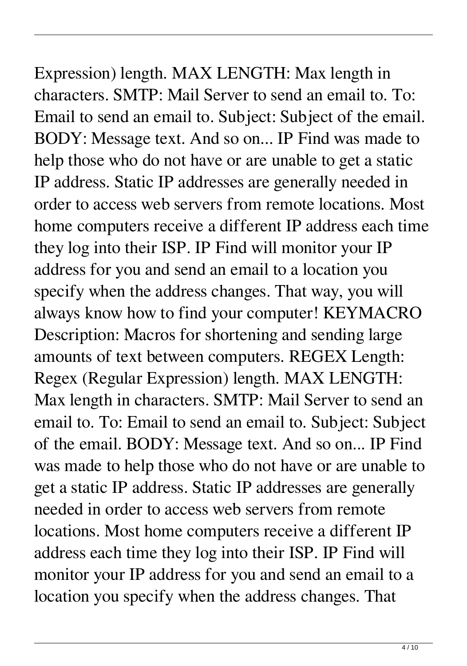Expression) length. MAX LENGTH: Max length in characters. SMTP: Mail Server to send an email to. To: Email to send an email to. Subject: Subject of the email. BODY: Message text. And so on... IP Find was made to help those who do not have or are unable to get a static IP address. Static IP addresses are generally needed in order to access web servers from remote locations. Most home computers receive a different IP address each time they log into their ISP. IP Find will monitor your IP address for you and send an email to a location you specify when the address changes. That way, you will always know how to find your computer! KEYMACRO Description: Macros for shortening and sending large amounts of text between computers. REGEX Length: Regex (Regular Expression) length. MAX LENGTH: Max length in characters. SMTP: Mail Server to send an email to. To: Email to send an email to. Subject: Subject of the email. BODY: Message text. And so on... IP Find was made to help those who do not have or are unable to get a static IP address. Static IP addresses are generally needed in order to access web servers from remote locations. Most home computers receive a different IP

address each time they log into their ISP. IP Find will monitor your IP address for you and send an email to a location you specify when the address changes. That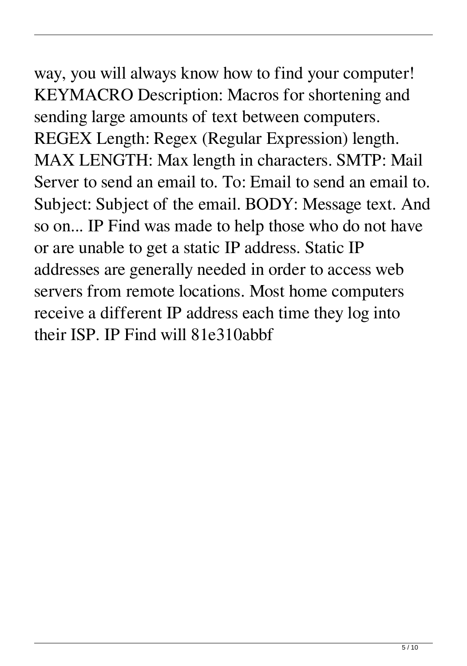## way, you will always know how to find your computer! KEYMACRO Description: Macros for shortening and sending large amounts of text between computers.

REGEX Length: Regex (Regular Expression) length. MAX LENGTH: Max length in characters. SMTP: Mail Server to send an email to. To: Email to send an email to. Subject: Subject of the email. BODY: Message text. And so on... IP Find was made to help those who do not have or are unable to get a static IP address. Static IP addresses are generally needed in order to access web servers from remote locations. Most home computers receive a different IP address each time they log into their ISP. IP Find will 81e310abbf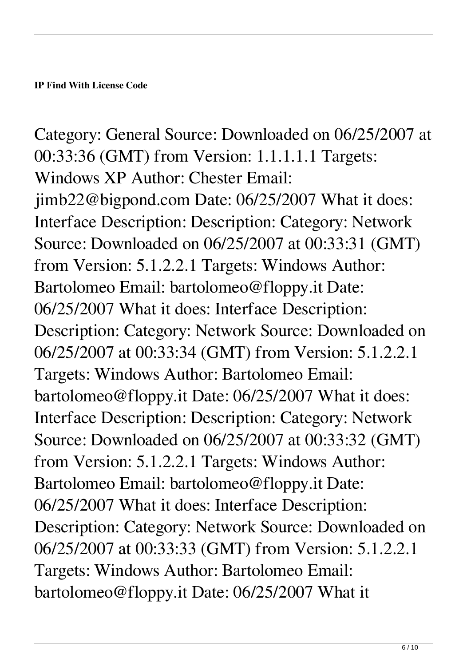Category: General Source: Downloaded on 06/25/2007 at 00:33:36 (GMT) from Version: 1.1.1.1.1 Targets: Windows XP Author: Chester Email: jimb22@bigpond.com Date: 06/25/2007 What it does: Interface Description: Description: Category: Network Source: Downloaded on 06/25/2007 at 00:33:31 (GMT) from Version: 5.1.2.2.1 Targets: Windows Author: Bartolomeo Email: bartolomeo@floppy.it Date: 06/25/2007 What it does: Interface Description: Description: Category: Network Source: Downloaded on 06/25/2007 at 00:33:34 (GMT) from Version: 5.1.2.2.1 Targets: Windows Author: Bartolomeo Email: bartolomeo@floppy.it Date: 06/25/2007 What it does: Interface Description: Description: Category: Network Source: Downloaded on 06/25/2007 at 00:33:32 (GMT) from Version: 5.1.2.2.1 Targets: Windows Author: Bartolomeo Email: bartolomeo@floppy.it Date: 06/25/2007 What it does: Interface Description: Description: Category: Network Source: Downloaded on 06/25/2007 at 00:33:33 (GMT) from Version: 5.1.2.2.1 Targets: Windows Author: Bartolomeo Email: bartolomeo@floppy.it Date: 06/25/2007 What it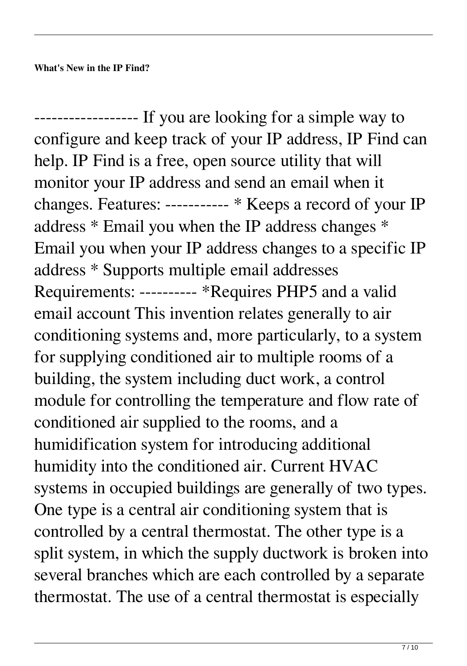------------------ If you are looking for a simple way to configure and keep track of your IP address, IP Find can help. IP Find is a free, open source utility that will monitor your IP address and send an email when it changes. Features: ----------- \* Keeps a record of your IP address \* Email you when the IP address changes \* Email you when your IP address changes to a specific IP address \* Supports multiple email addresses Requirements: ---------- \*Requires PHP5 and a valid email account This invention relates generally to air conditioning systems and, more particularly, to a system for supplying conditioned air to multiple rooms of a building, the system including duct work, a control module for controlling the temperature and flow rate of conditioned air supplied to the rooms, and a humidification system for introducing additional humidity into the conditioned air. Current HVAC systems in occupied buildings are generally of two types. One type is a central air conditioning system that is controlled by a central thermostat. The other type is a split system, in which the supply ductwork is broken into several branches which are each controlled by a separate thermostat. The use of a central thermostat is especially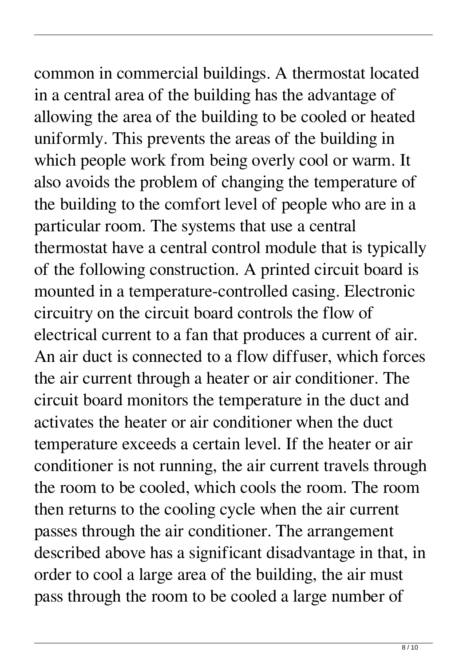common in commercial buildings. A thermostat located in a central area of the building has the advantage of allowing the area of the building to be cooled or heated uniformly. This prevents the areas of the building in which people work from being overly cool or warm. It also avoids the problem of changing the temperature of the building to the comfort level of people who are in a particular room. The systems that use a central thermostat have a central control module that is typically of the following construction. A printed circuit board is mounted in a temperature-controlled casing. Electronic circuitry on the circuit board controls the flow of electrical current to a fan that produces a current of air. An air duct is connected to a flow diffuser, which forces the air current through a heater or air conditioner. The circuit board monitors the temperature in the duct and activates the heater or air conditioner when the duct temperature exceeds a certain level. If the heater or air conditioner is not running, the air current travels through the room to be cooled, which cools the room. The room then returns to the cooling cycle when the air current

passes through the air conditioner. The arrangement described above has a significant disadvantage in that, in order to cool a large area of the building, the air must pass through the room to be cooled a large number of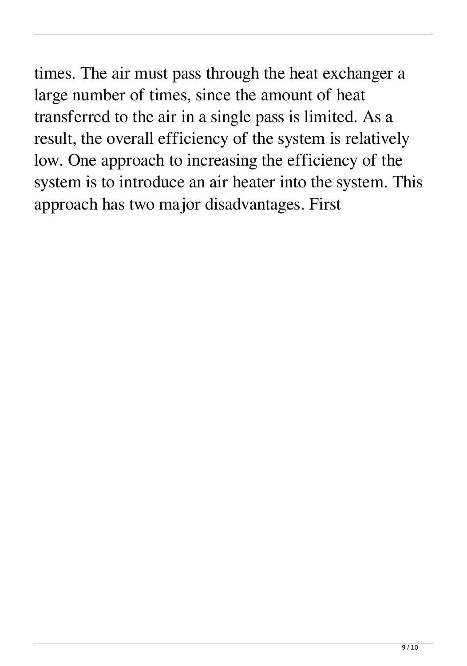times. The air must pass through the heat exchanger a large number of times, since the amount of heat transferred to the air in a single pass is limited. As a result, the overall efficiency of the system is relatively low. One approach to increasing the efficiency of the system is to introduce an air heater into the system. This approach has two major disadvantages. First